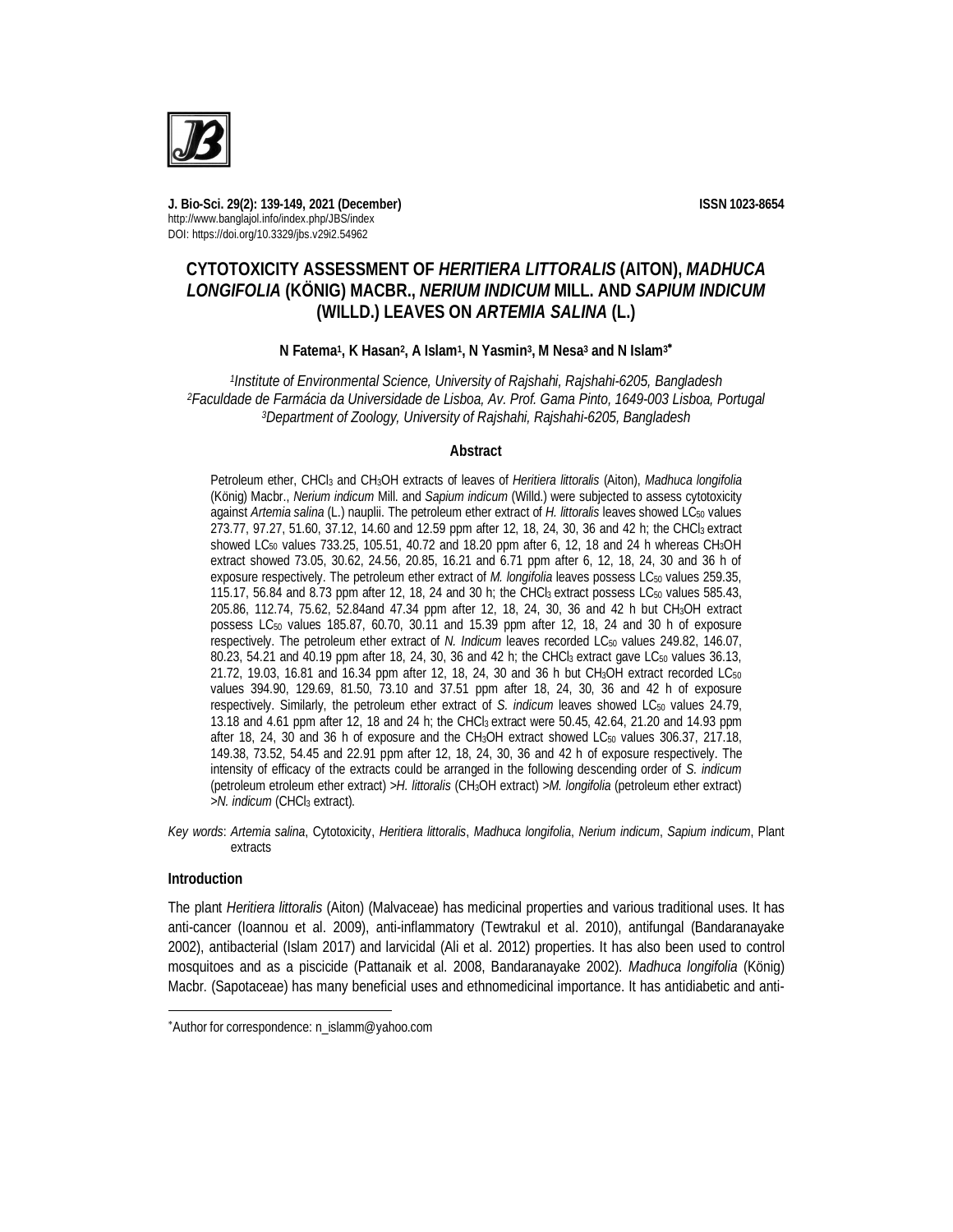

**J. Bio-Sci. 29(2): 139-149, 2021 (December) ISSN 1023-8654** http://www.banglajol.info/index.php/JBS/index DOI: https://doi.org/10.3329/jbs.v29i2.54962

# **CYTOTOXICITY ASSESSMENT OF** *HERITIERA LITTORALIS* **(AITON),** *MADHUCA LONGIFOLIA* **(KÖNIG) MACBR.,** *NERIUM INDICUM* **MILL. AND** *SAPIUM INDICUM* **(WILLD.) LEAVES ON** *ARTEMIA SALINA* **(L.)**

## **N Fatema<sup>1</sup> , K Hasan<sup>2</sup> , A Islam<sup>1</sup> , N Yasmin<sup>3</sup> , M Nesa<sup>3</sup> and N Islam<sup>3</sup>**

*1 Institute of Environmental Science, University of Rajshahi, Rajshahi-6205, Bangladesh <sup>2</sup>Faculdade de Farmácia da Universidade de Lisboa, Av. Prof. Gama Pinto, 1649-003 Lisboa, Portugal <sup>3</sup>Department of Zoology, University of Rajshahi, Rajshahi-6205, Bangladesh*

## **Abstract**

Petroleum ether, CHCl<sup>3</sup> and CH3OH extracts of leaves of *Heritiera littoralis* (Aiton), *Madhuca longifolia* (König) Macbr., *Nerium indicum* Mill. and *Sapium indicum* (Willd.) were subjected to assess cytotoxicity against *Artemia salina* (L.) nauplii. The petroleum ether extract of *H. littoralis* leaves showed LC<sub>50</sub> values 273.77, 97.27, 51.60, 37.12, 14.60 and 12.59 ppm after 12, 18, 24, 30, 36 and 42 h; the CHCl3 extract showed LC<sub>50</sub> values 733.25, 105.51, 40.72 and 18.20 ppm after 6, 12, 18 and 24 h whereas CH<sub>3</sub>OH extract showed 73.05, 30.62, 24.56, 20.85, 16.21 and 6.71 ppm after 6, 12, 18, 24, 30 and 36 h of exposure respectively. The petroleum ether extract of *M. longifolia* leaves possess LC<sub>50</sub> values 259.35, 115.17, 56.84 and 8.73 ppm after 12, 18, 24 and 30 h; the CHCl3 extract possess LC<sup>50</sup> values 585.43, 205.86, 112.74, 75.62, 52.84and 47.34 ppm after 12, 18, 24, 30, 36 and 42 h but CH3OH extract possess LC<sub>50</sub> values 185.87, 60.70, 30.11 and 15.39 ppm after 12, 18, 24 and 30 h of exposure respectively. The petroleum ether extract of *N. Indicum leaves recorded LC<sub>50</sub> values 249.82, 146.07,* 80.23, 54.21 and 40.19 ppm after 18, 24, 30, 36 and 42 h; the CHCl<sub>3</sub> extract gave LC<sub>50</sub> values 36.13, 21.72, 19.03, 16.81 and 16.34 ppm after 12, 18, 24, 30 and 36 h but CH<sub>3</sub>OH extract recorded LC<sub>50</sub> values 394.90, 129.69, 81.50, 73.10 and 37.51 ppm after 18, 24, 30, 36 and 42 h of exposure respectively. Similarly, the petroleum ether extract of *S. indicum* leaves showed LC<sub>50</sub> values 24.79, 13.18 and 4.61 ppm after 12, 18 and 24 h; the CHCl3 extract were 50.45, 42.64, 21.20 and 14.93 ppm after 18, 24, 30 and 36 h of exposure and the CH<sub>3</sub>OH extract showed LC<sub>50</sub> values 306.37, 217.18, 149.38, 73.52, 54.45 and 22.91 ppm after 12, 18, 24, 30, 36 and 42 h of exposure respectively. The intensity of efficacy of the extracts could be arranged in the following descending order of *S. indicum*  (petroleum etroleum ether extract) *>H. littoralis* (CH3OH extract) *>M. longifolia* (petroleum ether extract) *>N. indicum* (CHCl<sup>3</sup> extract).

*Key words*: *Artemia salina*, Cytotoxicity, *Heritiera littoralis*, *Madhuca longifolia*, *Nerium indicum*, *Sapium indicum*, Plant extracts

## **Introduction**

 $\overline{a}$ 

The plant *Heritiera littoralis* (Aiton) (Malvaceae) has medicinal properties and various traditional uses. It has anti-cancer (Ioannou et al. 2009), anti-inflammatory (Tewtrakul et al. 2010), antifungal (Bandaranayake 2002), antibacterial (Islam 2017) and larvicidal (Ali et al. 2012) properties. It has also been used to control mosquitoes and as a piscicide (Pattanaik et al. 2008, Bandaranayake 2002). *Madhuca longifolia* (König) Macbr. (Sapotaceae) has many beneficial uses and ethnomedicinal importance. It has antidiabetic and anti-

Author for correspondence: n\_islamm@yahoo.com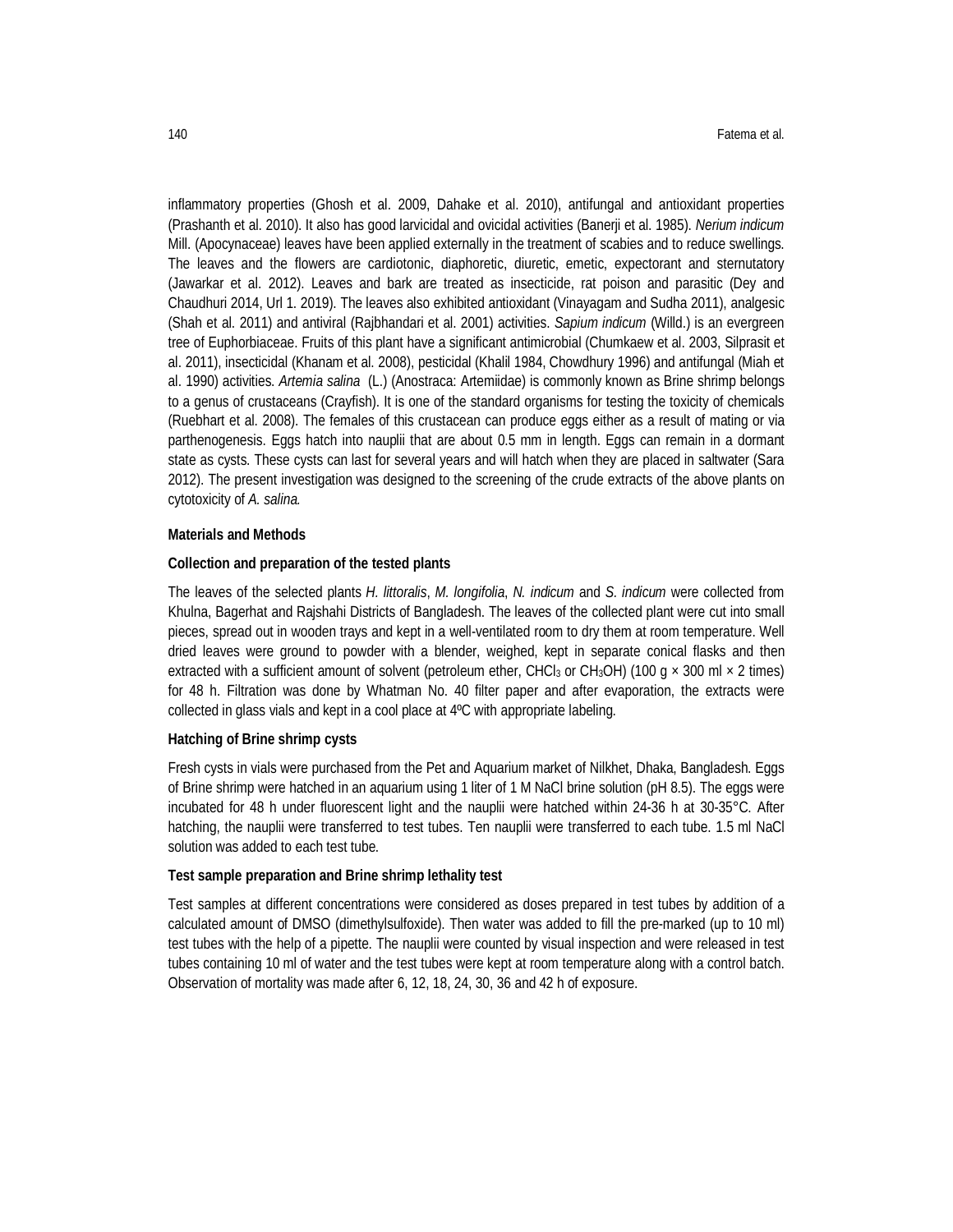inflammatory properties (Ghosh et al. 2009, Dahake et al. 2010), antifungal and antioxidant properties (Prashanth et al. 2010). It also has good larvicidal and ovicidal activities (Banerji et al. 1985). *Nerium indicum* Mill. (Apocynaceae) leaves have been applied externally in the treatment of scabies and to reduce swellings. The leaves and the flowers are cardiotonic, diaphoretic, diuretic, emetic, expectorant and sternutatory (Jawarkar et al. 2012). Leaves and bark are treated as insecticide, rat poison and parasitic (Dey and Chaudhuri 2014, Url 1. 2019). The leaves also exhibited antioxidant (Vinayagam and Sudha 2011), analgesic (Shah et al. 2011) and antiviral (Rajbhandari et al. 2001) activities. *Sapium indicum* (Willd.) is an evergreen tree of Euphorbiaceae. Fruits of this plant have a significant antimicrobial (Chumkaew et al. 2003, Silprasit et al. 2011), insecticidal (Khanam et al. 2008), pesticidal (Khalil 1984, Chowdhury 1996) and antifungal (Miah et al. 1990) activities. *Artemia salina* (L.) (Anostraca: Artemiidae) is commonly known as Brine shrimp belongs to a genus of crustaceans (Crayfish). It is one of the standard organisms for testing the toxicity of chemicals (Ruebhart et al. 2008). The females of this crustacean can produce eggs either as a result of mating or via parthenogenesis. Eggs hatch into nauplii that are about 0.5 mm in length. Eggs can remain in a dormant state as cysts. These cysts can last for several years and will hatch when they are placed in saltwater (Sara 2012). The present investigation was designed to the screening of the crude extracts of the above plants on cytotoxicity of *A. salina.*

### **Materials and Methods**

## **Collection and preparation of the tested plants**

The leaves of the selected plants *H. littoralis*, *M. longifolia*, *N. indicum* and *S. indicum* were collected from Khulna, Bagerhat and Rajshahi Districts of Bangladesh. The leaves of the collected plant were cut into small pieces, spread out in wooden trays and kept in a well-ventilated room to dry them at room temperature. Well dried leaves were ground to powder with a blender, weighed, kept in separate conical flasks and then extracted with a sufficient amount of solvent (petroleum ether, CHCl<sub>3</sub> or CH<sub>3</sub>OH) (100 q  $\times$  300 ml  $\times$  2 times) for 48 h. Filtration was done by Whatman No. 40 filter paper and after evaporation, the extracts were collected in glass vials and kept in a cool place at 4ºC with appropriate labeling.

#### **Hatching of Brine shrimp cysts**

Fresh cysts in vials were purchased from the Pet and Aquarium market of Nilkhet, Dhaka, Bangladesh. Eggs of Brine shrimp were hatched in an aquarium using 1 liter of 1 M NaCl brine solution (pH 8.5). The eggs were incubated for 48 h under fluorescent light and the nauplii were hatched within 24-36 h at 30-35°C. After hatching, the nauplii were transferred to test tubes. Ten nauplii were transferred to each tube. 1.5 ml NaCl solution was added to each test tube.

#### **Test sample preparation and Brine shrimp lethality test**

Test samples at different concentrations were considered as doses prepared in test tubes by addition of a calculated amount of DMSO (dimethylsulfoxide). Then water was added to fill the pre-marked (up to 10 ml) test tubes with the help of a pipette. The nauplii were counted by visual inspection and were released in test tubes containing 10 ml of water and the test tubes were kept at room temperature along with a control batch. Observation of mortality was made after 6, 12, 18, 24, 30, 36 and 42 h of exposure.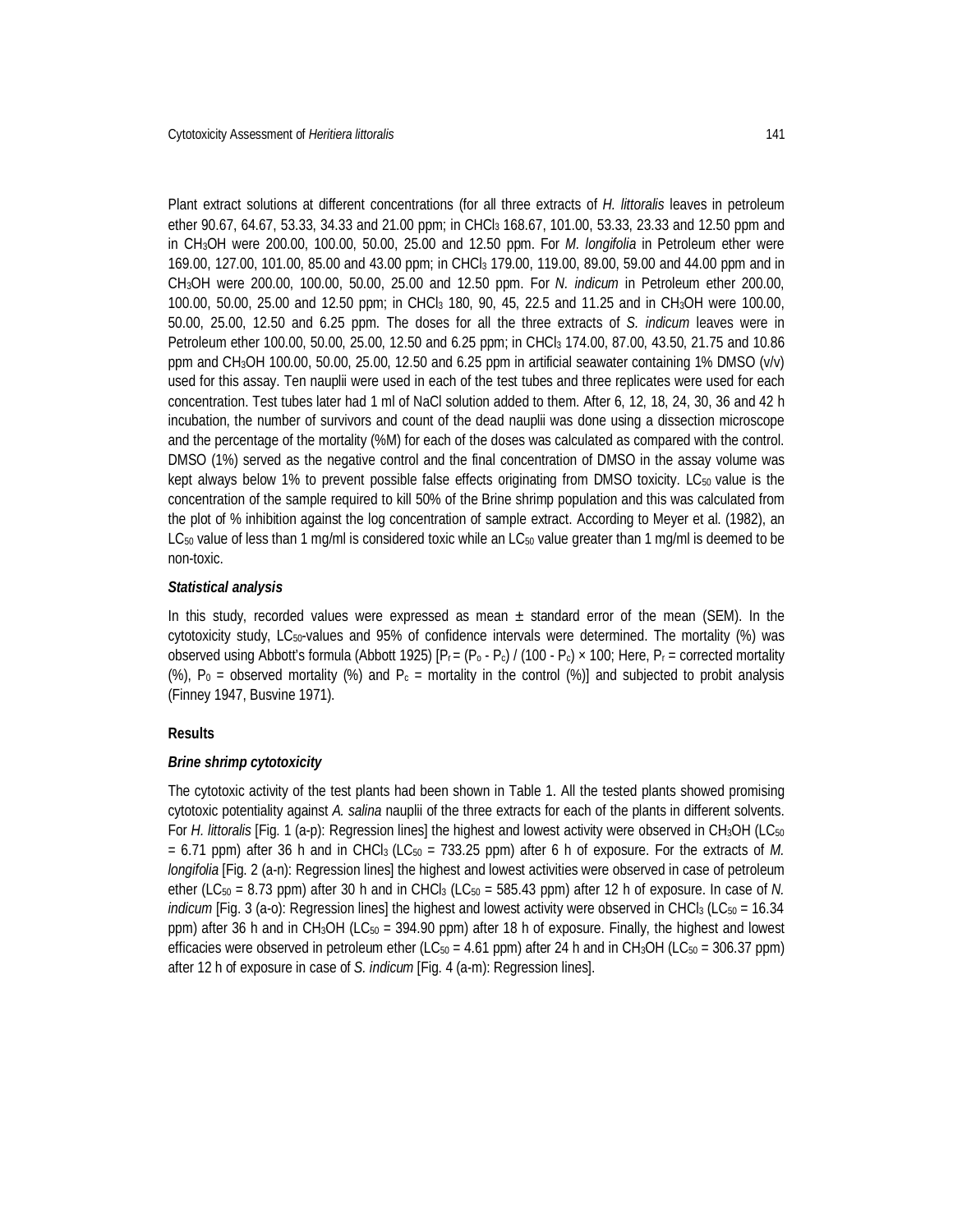Plant extract solutions at different concentrations (for all three extracts of *H. littoralis* leaves in petroleum ether 90.67, 64.67, 53.33, 34.33 and 21.00 ppm; in CHCl<sub>3</sub> 168.67, 101.00, 53.33, 23.33 and 12.50 ppm and in CH3OH were 200.00, 100.00, 50.00, 25.00 and 12.50 ppm. For *M. longifolia* in Petroleum ether were 169.00, 127.00, 101.00, 85.00 and 43.00 ppm; in CHCl<sup>3</sup> 179.00, 119.00, 89.00, 59.00 and 44.00 ppm and in CH3OH were 200.00, 100.00, 50.00, 25.00 and 12.50 ppm. For *N. indicum* in Petroleum ether 200.00, 100.00, 50.00, 25.00 and 12.50 ppm; in CHCl<sup>3</sup> 180, 90, 45, 22.5 and 11.25 and in CH3OH were 100.00, 50.00, 25.00, 12.50 and 6.25 ppm. The doses for all the three extracts of *S. indicum* leaves were in Petroleum ether 100.00, 50.00, 25.00, 12.50 and 6.25 ppm; in CHCl<sub>3</sub> 174.00, 87.00, 43.50, 21.75 and 10.86 ppm and CH3OH 100.00, 50.00, 25.00, 12.50 and 6.25 ppm in artificial seawater containing 1% DMSO (v/v) used for this assay. Ten nauplii were used in each of the test tubes and three replicates were used for each concentration. Test tubes later had 1 ml of NaCl solution added to them. After 6, 12, 18, 24, 30, 36 and 42 h incubation, the number of survivors and count of the dead nauplii was done using a dissection microscope and the percentage of the mortality (%M) for each of the doses was calculated as compared with the control. DMSO (1%) served as the negative control and the final concentration of DMSO in the assay volume was kept always below 1% to prevent possible false effects originating from DMSO toxicity. LC $_{50}$  value is the concentration of the sample required to kill 50% of the Brine shrimp population and this was calculated from the plot of % inhibition against the log concentration of sample extract. According to Meyer et al. (1982), an LC<sub>50</sub> value of less than 1 mg/ml is considered toxic while an LC<sub>50</sub> value greater than 1 mg/ml is deemed to be non-toxic.

#### *Statistical analysis*

In this study, recorded values were expressed as mean  $\pm$  standard error of the mean (SEM). In the cytotoxicity study, LC50-values and 95% of confidence intervals were determined. The mortality (%) was observed using Abbott's formula (Abbott 1925)  $[ P_r = (P_0 - P_c) / (100 - P_c) \times 100$ ; Here,  $P_r =$  corrected mortality (%),  $P_0$  = observed mortality (%) and  $P_c$  = mortality in the control (%)] and subjected to probit analysis (Finney 1947, Busvine 1971).

## **Results**

## *Brine shrimp cytotoxicity*

The cytotoxic activity of the test plants had been shown in Table 1. All the tested plants showed promising cytotoxic potentiality against *A. salina* nauplii of the three extracts for each of the plants in different solvents. For *H. littoralis* [Fig. 1 (a-p): Regression lines] the highest and lowest activity were observed in CH<sub>3</sub>OH (LC<sub>50</sub>)  $= 6.71$  ppm) after 36 h and in CHCl<sub>3</sub> (LC<sub>50</sub>  $= 733.25$  ppm) after 6 h of exposure. For the extracts of M. *longifolia* [Fig. 2 (a-n): Regression lines] the highest and lowest activities were observed in case of petroleum ether (LC<sub>50</sub> = 8.73 ppm) after 30 h and in CHCl<sub>3</sub> (LC<sub>50</sub> = 585.43 ppm) after 12 h of exposure. In case of N. *indicum* [Fig. 3 (a-o): Regression lines] the highest and lowest activity were observed in CHCl<sub>3</sub> (LC<sub>50</sub> = 16.34 ppm) after 36 h and in CH<sub>3</sub>OH (LC<sub>50</sub> = 394.90 ppm) after 18 h of exposure. Finally, the highest and lowest efficacies were observed in petroleum ether (LC<sub>50</sub> = 4.61 ppm) after 24 h and in CH<sub>3</sub>OH (LC<sub>50</sub> = 306.37 ppm) after 12 h of exposure in case of *S. indicum* [Fig. 4 (a-m): Regression lines].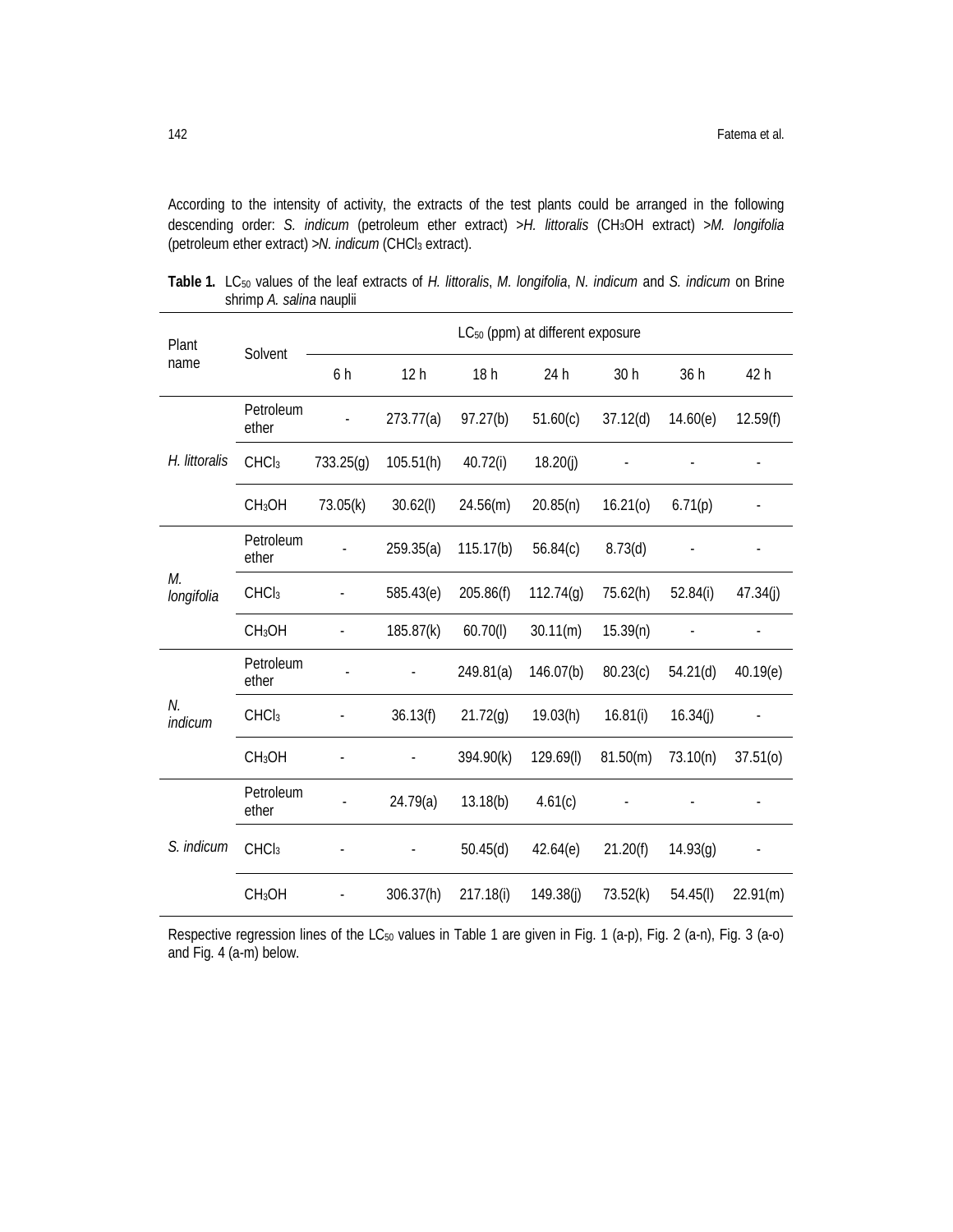According to the intensity of activity, the extracts of the test plants could be arranged in the following descending order: *S. indicum* (petroleum ether extract) >*H. littoralis* (CH3OH extract) >*M. longifolia* (petroleum ether extract) >*N. indicum* (CHCl<sup>3</sup> extract).

| Plant<br>name    | Solvent            | LC <sub>50</sub> (ppm) at different exposure |                 |           |           |                          |          |               |
|------------------|--------------------|----------------------------------------------|-----------------|-----------|-----------|--------------------------|----------|---------------|
|                  |                    | 6 h                                          | 12 <sub>h</sub> | 18h       | 24 h      | 30 h                     | 36 h     | 42 h          |
| H. littoralis    | Petroleum<br>ether |                                              | 273.77(a)       | 97.27(b)  | 51.60(c)  | 37.12(d)                 | 14.60(e) | 12.59(f)      |
|                  | CHCl <sub>3</sub>  | 733.25(q)                                    | 105.51(h)       | 40.72(i)  | 18.20(j)  | $\overline{\phantom{a}}$ |          | $\frac{1}{2}$ |
|                  | CH <sub>3</sub> OH | 73.05(k)                                     | 30.62(l)        | 24.56(m)  | 20.85(n)  | 16.21(0)                 | 6.71(p)  |               |
| М.<br>longifolia | Petroleum<br>ether |                                              | 259.35(a)       | 115.17(b) | 56.84(c)  | 8.73(d)                  |          |               |
|                  | CHCl <sub>3</sub>  |                                              | 585.43(e)       | 205.86(f) | 112.74(q) | 75.62(h)                 | 52.84(i) | 47.34(j)      |
|                  | CH <sub>3</sub> OH |                                              | 185.87(k)       | 60.70(l)  | 30.11(m)  | 15.39(n)                 |          |               |
| N.<br>indicum    | Petroleum<br>ether |                                              |                 | 249.81(a) | 146.07(b) | 80.23(c)                 | 54.21(d) | 40.19(e)      |
|                  | CHCl <sub>3</sub>  |                                              | 36.13(f)        | 21.72(q)  | 19.03(h)  | 16.81(i)                 | 16.34(j) |               |
|                  | CH <sub>3</sub> OH |                                              |                 | 394.90(k) | 129.69(I) | 81.50(m)                 | 73.10(n) | 37.51(0)      |
| S. indicum       | Petroleum<br>ether |                                              | 24.79(a)        | 13.18(b)  | 4.61(c)   |                          |          |               |
|                  | CHCl <sub>3</sub>  |                                              |                 | 50.45(d)  | 42.64(e)  | 21.20(f)                 | 14.93(g) |               |
|                  | CH <sub>3</sub> OH |                                              | 306.37(h)       | 217.18(i) | 149.38(i) | 73.52(k)                 | 54.45(l) | 22.91(m)      |

**Table 1.** LC<sup>50</sup> values of the leaf extracts of *H. littoralis*, *M. longifolia*, *N. indicum* and *S. indicum* on Brine shrimp *A. salina* nauplii

Respective regression lines of the LC<sub>50</sub> values in Table 1 are given in Fig. 1 (a-p), Fig. 2 (a-n), Fig. 3 (a-o) and Fig. 4 (a-m) below.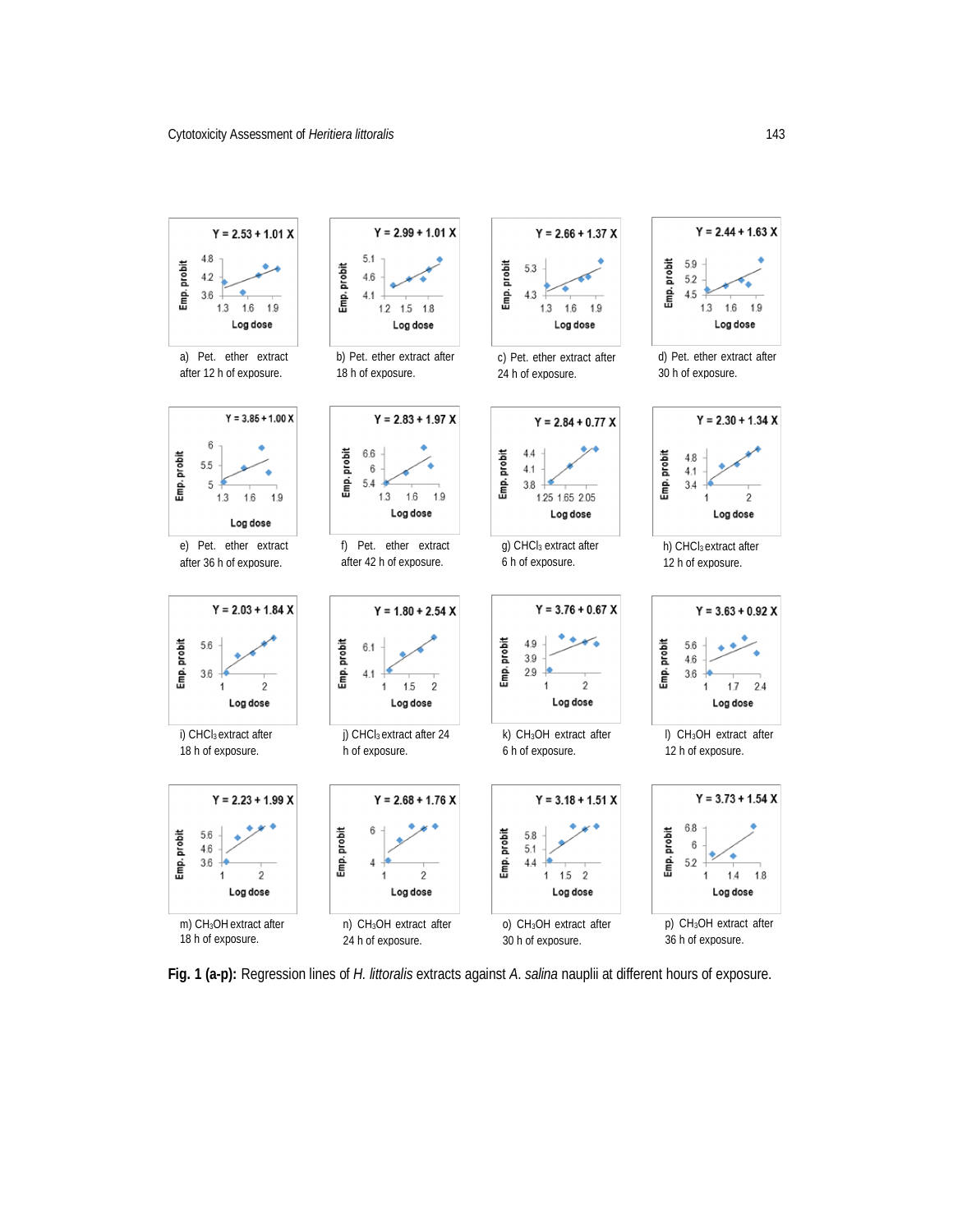

**Fig. 1 (a-p):** Regression lines of *H. littoralis* extracts against *A*. *salina* nauplii at different hours of exposure.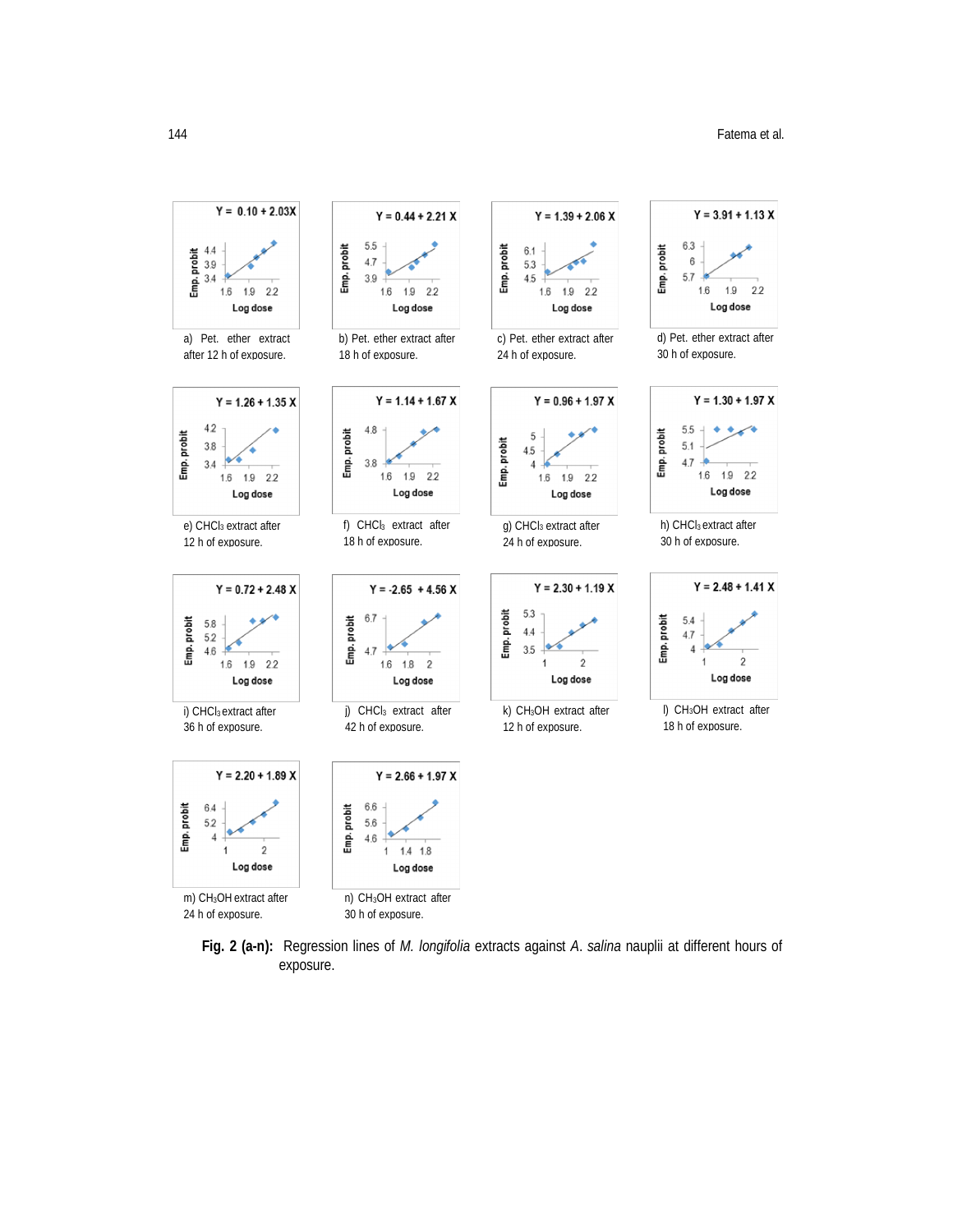

**Fig. 2 (a-n):** Regression lines of *M. longifolia* extracts against *A*. *salina* nauplii at different hours of exposure.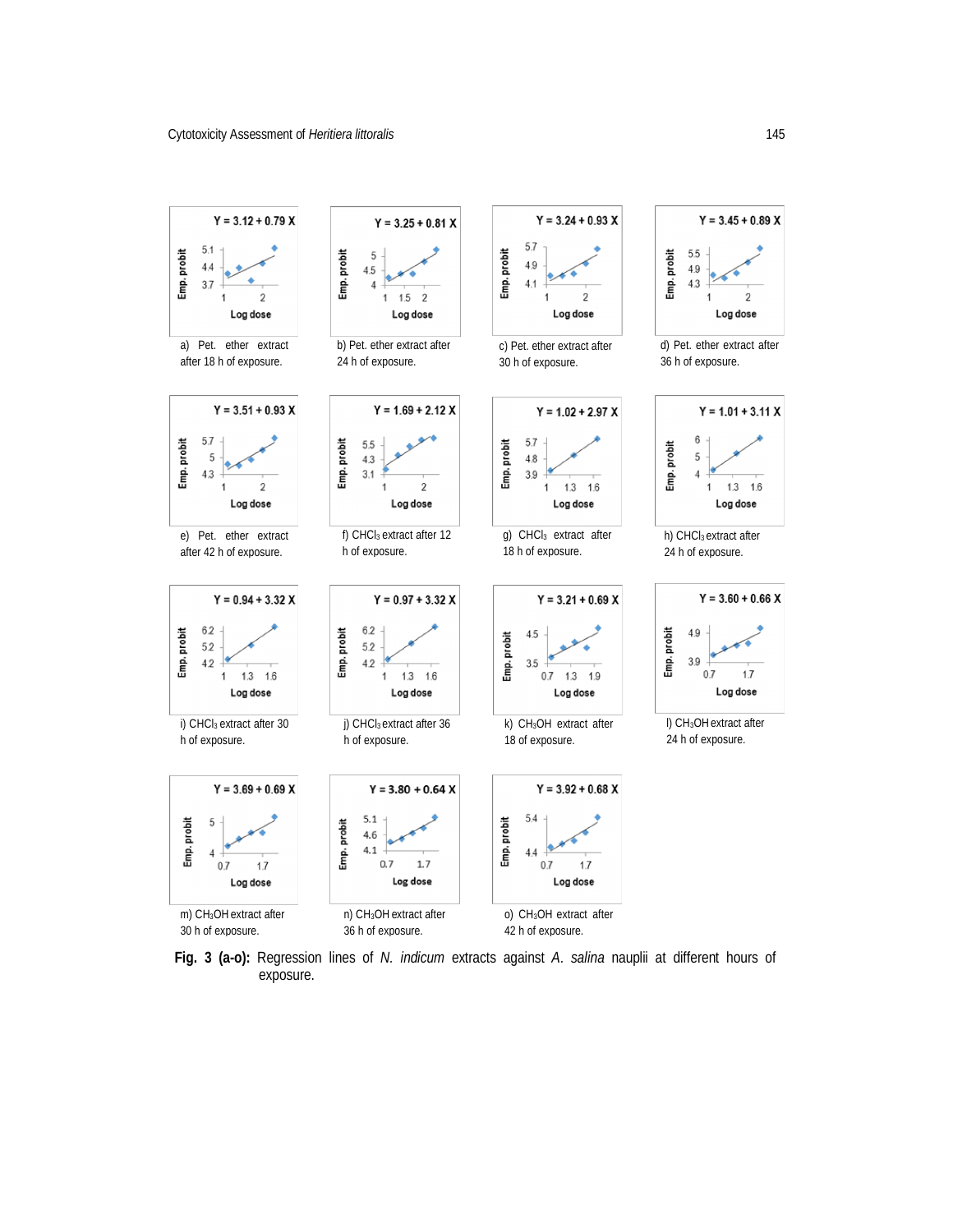

**Fig. 3 (a-o):** Regression lines of *N. indicum* extracts against *A*. *salina* nauplii at different hours of exposure.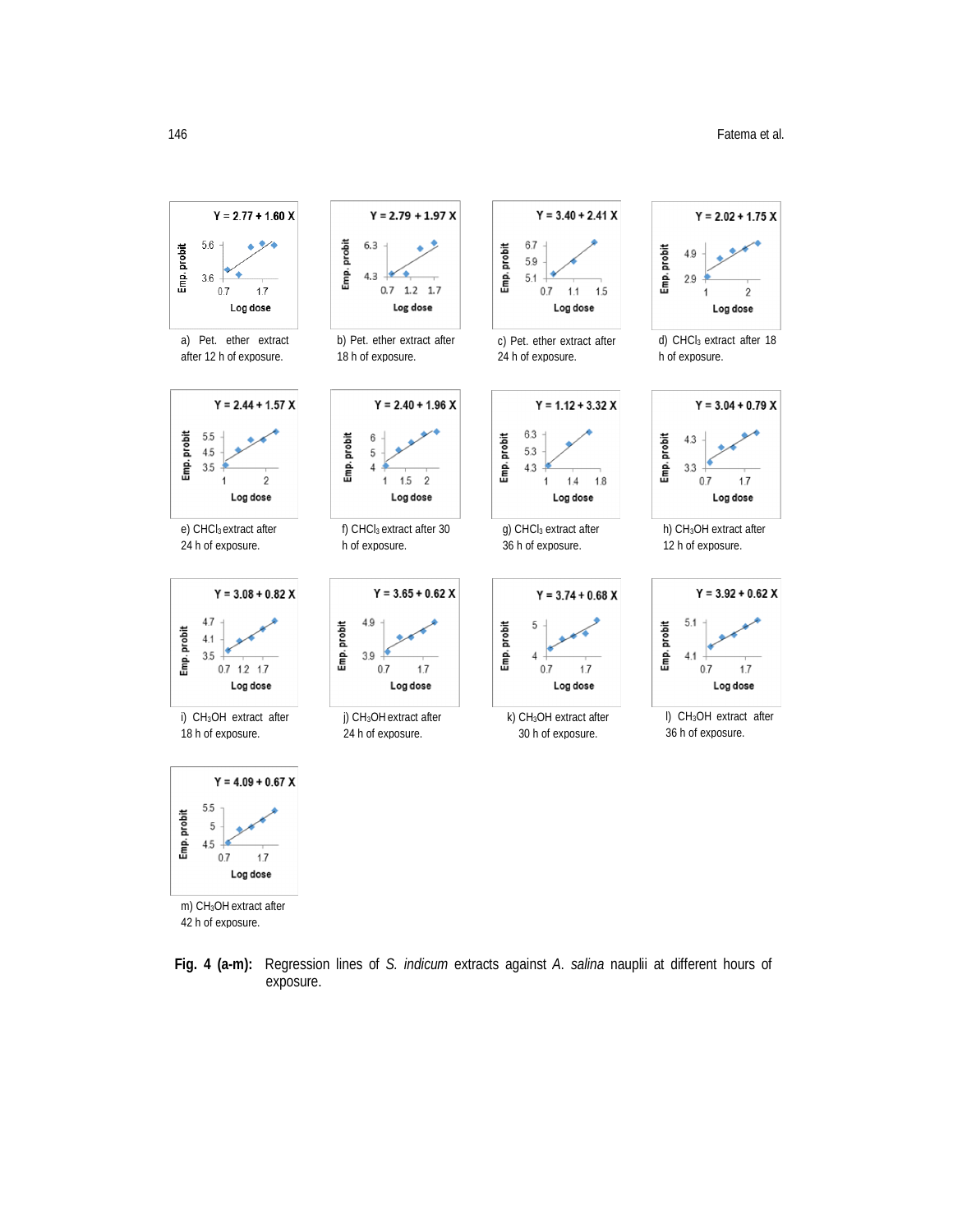



m) CH3OH extract after 42 h of exposure.

**Fig. 4 (a-m):** Regression lines of *S. indicum* extracts against *A*. *salina* nauplii at different hours of exposure.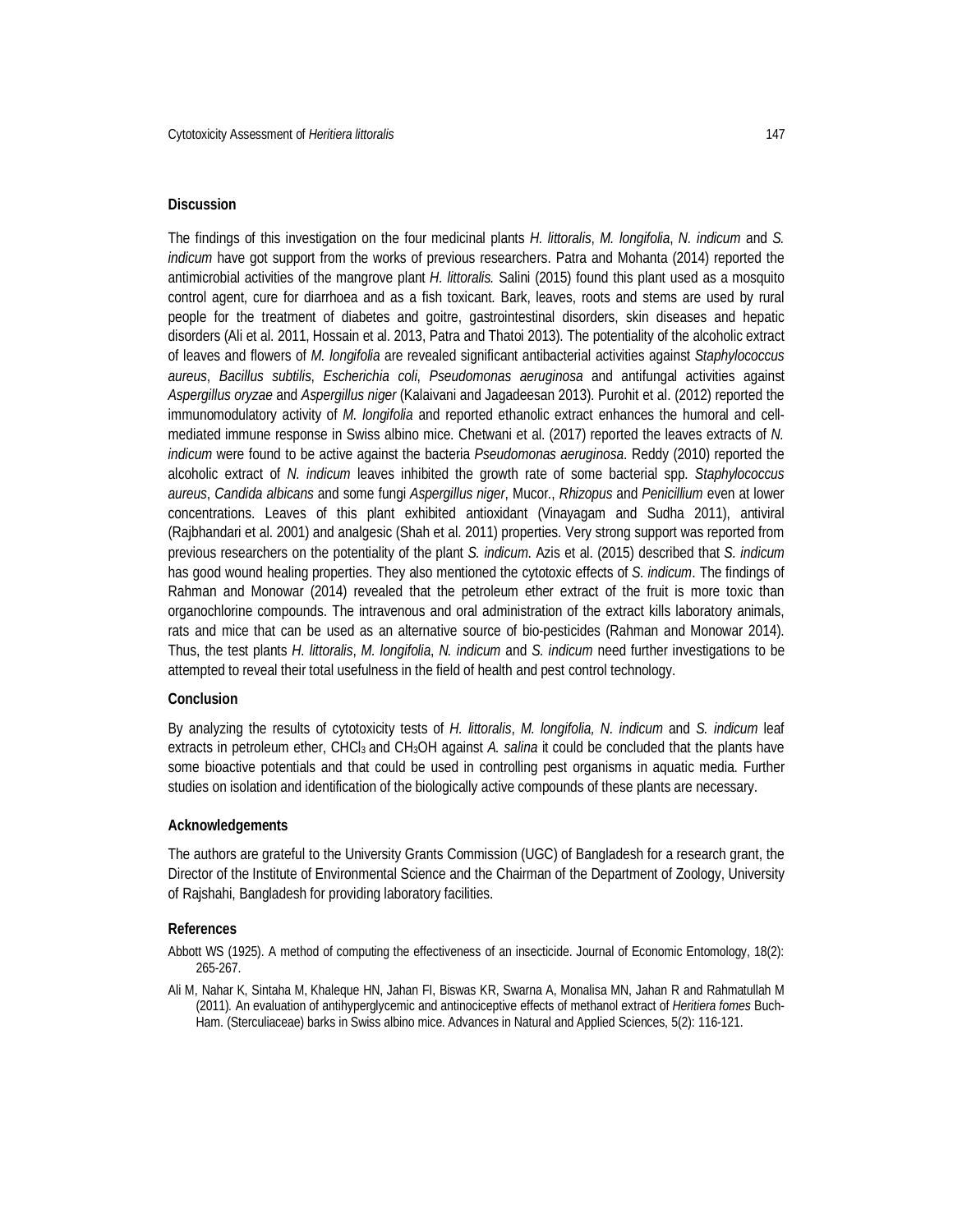## **Discussion**

The findings of this investigation on the four medicinal plants *H. littoralis*, *M. longifolia*, *N. indicum* and *S. indicum* have got support from the works of previous researchers. Patra and Mohanta (2014) reported the antimicrobial activities of the mangrove plant *H. littoralis.* Salini (2015) found this plant used as a mosquito control agent, cure for diarrhoea and as a fish toxicant. Bark, leaves, roots and stems are used by rural people for the treatment of diabetes and goitre, gastrointestinal disorders, skin diseases and hepatic disorders (Ali et al. 2011, Hossain et al. 2013, Patra and Thatoi 2013). The potentiality of the alcoholic extract of leaves and flowers of *M. longifolia* are revealed significant antibacterial activities against *Staphylococcus aureus*, *Bacillus subtilis*, *Escherichia coli*, *Pseudomonas aeruginosa* and antifungal activities against *Aspergillus oryzae* and *Aspergillus niger* (Kalaivani and Jagadeesan 2013). Purohit et al. (2012) reported the immunomodulatory activity of *M. longifolia* and reported ethanolic extract enhances the humoral and cellmediated immune response in Swiss albino mice. Chetwani et al. (2017) reported the leaves extracts of *N. indicum* were found to be active against the bacteria *Pseudomonas aeruginosa*. Reddy (2010) reported the alcoholic extract of *N. indicum* leaves inhibited the growth rate of some bacterial spp. *Staphylococcus aureus*, *Candida albicans* and some fungi *Aspergillus niger*, Mucor., *Rhizopus* and *Penicillium* even at lower concentrations. Leaves of this plant exhibited antioxidant (Vinayagam and Sudha 2011), antiviral (Rajbhandari et al. 2001) and analgesic (Shah et al. 2011) properties. Very strong support was reported from previous researchers on the potentiality of the plant *S. indicum*. Azis et al. (2015) described that *S. indicum*  has good wound healing properties. They also mentioned the cytotoxic effects of *S. indicum*. The findings of Rahman and Monowar (2014) revealed that the petroleum ether extract of the fruit is more toxic than organochlorine compounds. The intravenous and oral administration of the extract kills laboratory animals, rats and mice that can be used as an alternative source of bio-pesticides (Rahman and Monowar 2014). Thus, the test plants *H. littoralis*, *M. longifolia*, *N. indicum* and *S. indicum* need further investigations to be attempted to reveal their total usefulness in the field of health and pest control technology.

#### **Conclusion**

By analyzing the results of cytotoxicity tests of *H. littoralis*, *M. longifolia, N. indicum* and *S. indicum* leaf extracts in petroleum ether, CHCl<sub>3</sub> and CH<sub>3</sub>OH against *A. salina* it could be concluded that the plants have some bioactive potentials and that could be used in controlling pest organisms in aquatic media. Further studies on isolation and identification of the biologically active compounds of these plants are necessary.

#### **Acknowledgements**

The authors are grateful to the University Grants Commission (UGC) of Bangladesh for a research grant, the Director of the Institute of Environmental Science and the Chairman of the Department of Zoology, University of Rajshahi, Bangladesh for providing laboratory facilities.

#### **References**

- Abbott WS (1925). A method of computing the effectiveness of an insecticide. Journal of Economic Entomology, 18(2): 265-267.
- Ali M, Nahar K, Sintaha M, Khaleque HN, Jahan FI, Biswas KR, Swarna A, Monalisa MN, Jahan R and Rahmatullah M (2011)*.* An evaluation of antihyperglycemic and antinociceptive effects of methanol extract of *Heritiera fomes* Buch-Ham. (Sterculiaceae) barks in Swiss albino mice. Advances in Natural and Applied Sciences, 5(2): 116-121.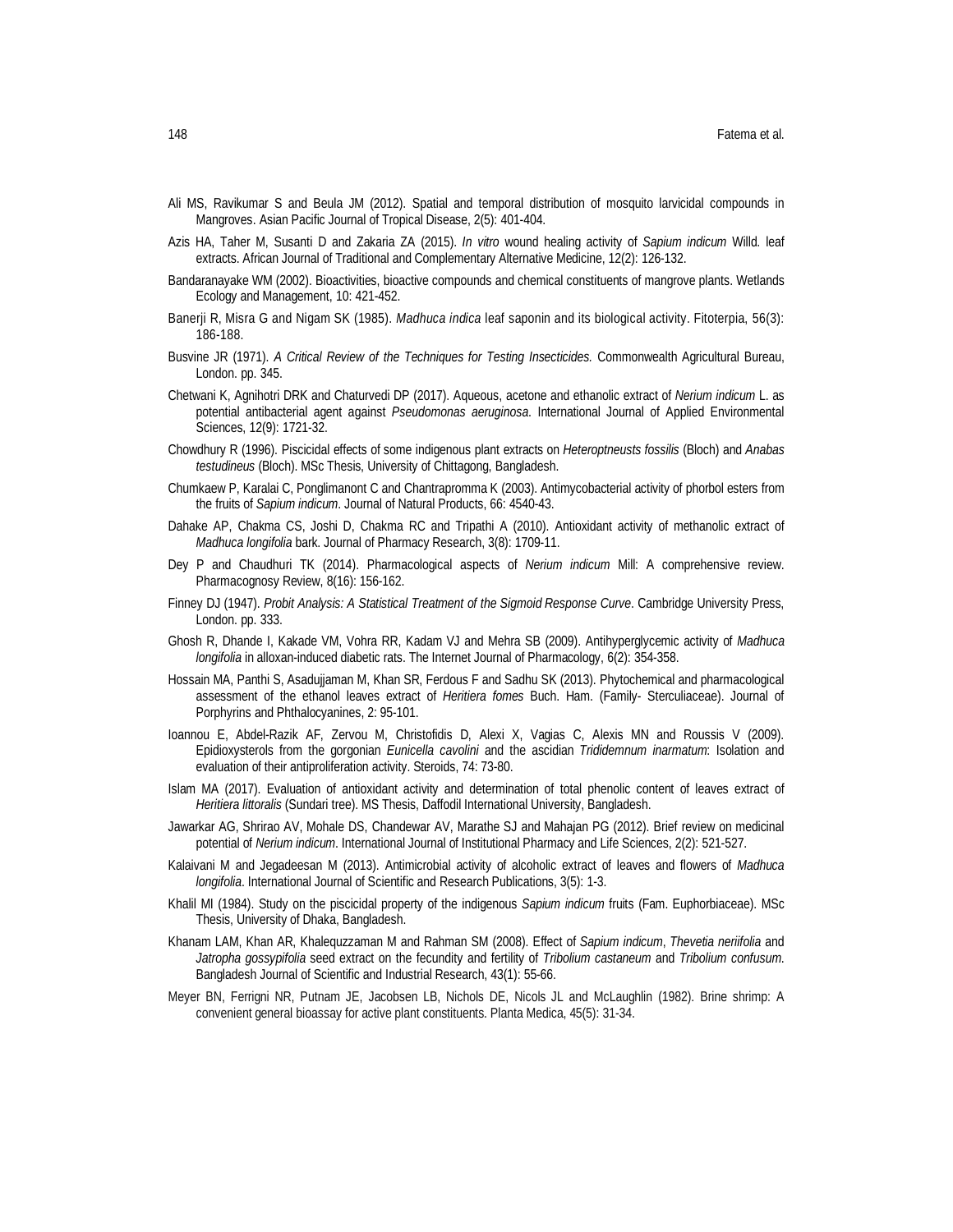- Ali MS, Ravikumar S and Beula JM (2012). Spatial and temporal distribution of mosquito larvicidal compounds in Mangroves. Asian Pacific Journal of Tropical Disease, 2(5): 401-404.
- Azis HA, Taher M, Susanti D and Zakaria ZA (2015). *In vitro* wound healing activity of *Sapium indicum* Willd. leaf extracts. African Journal of Traditional and Complementary Alternative Medicine, 12(2): 126-132.
- Bandaranayake WM (2002). Bioactivities, bioactive compounds and chemical constituents of mangrove plants. Wetlands Ecology and Management, 10: 421-452.
- Banerji R, Misra G and Nigam SK (1985). *Madhuca indica* leaf saponin and its biological activity. Fitoterpia, 56(3): 186-188.
- Busvine JR (1971). *A Critical Review of the Techniques for Testing Insecticides.* Commonwealth Agricultural Bureau, London. pp. 345.
- Chetwani K, Agnihotri DRK and Chaturvedi DP (2017). Aqueous, acetone and ethanolic extract of *Nerium indicum* L. as potential antibacterial agent against *Pseudomonas aeruginosa*. International Journal of Applied Environmental Sciences, 12(9): 1721-32.
- Chowdhury R (1996). Piscicidal effects of some indigenous plant extracts on *Heteroptneusts fossilis* (Bloch) and *Anabas testudineus* (Bloch). MSc Thesis, University of Chittagong, Bangladesh.
- Chumkaew P, Karalai C, Ponglimanont C and Chantrapromma K (2003). Antimycobacterial activity of phorbol esters from the fruits of *Sapium indicum*. Journal of Natural Products, 66: 4540-43.
- Dahake AP, Chakma CS, Joshi D, Chakma RC and Tripathi A (2010). Antioxidant activity of methanolic extract of *Madhuca longifolia* bark. Journal of Pharmacy Research, 3(8): 1709-11.
- Dey P and Chaudhuri TK (2014). Pharmacological aspects of *Nerium indicum* Mill: A comprehensive review. Pharmacognosy Review, 8(16): 156-162.
- Finney DJ (1947). *Probit Analysis: A Statistical Treatment of the Sigmoid Response Curve*. Cambridge University Press, London. pp. 333.
- Ghosh R, Dhande I, Kakade VM, Vohra RR, Kadam VJ and Mehra SB (2009). Antihyperglycemic activity of *Madhuca longifolia* in alloxan-induced diabetic rats. The Internet Journal of Pharmacology, 6(2): 354-358.
- Hossain MA, Panthi S, Asadujjaman M, Khan SR, Ferdous F and Sadhu SK (2013). Phytochemical and pharmacological assessment of the ethanol leaves extract of *Heritiera fomes* Buch. Ham. (Family- Sterculiaceae). Journal of Porphyrins and Phthalocyanines, 2: 95-101.
- Ioannou E, Abdel-Razik AF, Zervou M, Christofidis D, Alexi X, Vagias C, Alexis MN and Roussis V (2009). Epidioxysterols from the gorgonian *Eunicella cavolini* and the ascidian *Trididemnum inarmatum*: Isolation and evaluation of their antiproliferation activity. Steroids, 74: 73-80.
- Islam MA (2017). Evaluation of antioxidant activity and determination of total phenolic content of leaves extract of *Heritiera littoralis* (Sundari tree). MS Thesis, Daffodil International University, Bangladesh.
- Jawarkar AG, Shrirao AV, Mohale DS, Chandewar AV, Marathe SJ and Mahajan PG (2012). Brief review on medicinal potential of *Nerium indicum*. International Journal of Institutional Pharmacy and Life Sciences, 2(2): 521-527.
- Kalaivani M and Jegadeesan M (2013). Antimicrobial activity of alcoholic extract of leaves and flowers of *Madhuca longifolia*. International Journal of Scientific and Research Publications, 3(5): 1-3.
- Khalil MI (1984). Study on the piscicidal property of the indigenous *Sapium indicum* fruits (Fam. Euphorbiaceae). MSc Thesis, University of Dhaka, Bangladesh.
- Khanam LAM, Khan AR, Khalequzzaman M and Rahman SM (2008). Effect of *Sapium indicum*, *Thevetia neriifolia* and *Jatropha gossypifolia* seed extract on the fecundity and fertility of *Tribolium castaneum* and *Tribolium confusum*. Bangladesh Journal of Scientific and Industrial Research, 43(1): 55-66.
- Meyer BN, Ferrigni NR, Putnam JE, Jacobsen LB, Nichols DE, Nicols JL and McLaughlin (1982). Brine shrimp: A convenient general bioassay for active plant constituents. Planta Medica, 45(5): 31-34.